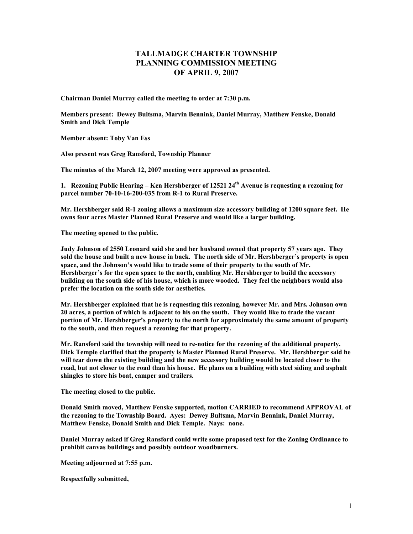## **TALLMADGE CHARTER TOWNSHIP PLANNING COMMISSION MEETING OF APRIL 9, 2007**

**Chairman Daniel Murray called the meeting to order at 7:30 p.m.** 

**Members present: Dewey Bultsma, Marvin Bennink, Daniel Murray, Matthew Fenske, Donald Smith and Dick Temple** 

**Member absent: Toby Van Ess** 

**Also present was Greg Ransford, Township Planner** 

**The minutes of the March 12, 2007 meeting were approved as presented.** 

1. Rezoning Public Hearing – Ken Hershberger of 12521 24<sup>th</sup> Avenue is requesting a rezoning for **parcel number 70-10-16-200-035 from R-1 to Rural Preserve.** 

**Mr. Hershberger said R-1 zoning allows a maximum size accessory building of 1200 square feet. He owns four acres Master Planned Rural Preserve and would like a larger building.** 

**The meeting opened to the public.** 

**Judy Johnson of 2550 Leonard said she and her husband owned that property 57 years ago. They sold the house and built a new house in back. The north side of Mr. Hershberger's property is open space, and the Johnson's would like to trade some of their property to the south of Mr. Hershberger's for the open space to the north, enabling Mr. Hershberger to build the accessory building on the south side of his house, which is more wooded. They feel the neighbors would also prefer the location on the south side for aesthetics.** 

**Mr. Hershberger explained that he is requesting this rezoning, however Mr. and Mrs. Johnson own 20 acres, a portion of which is adjacent to his on the south. They would like to trade the vacant portion of Mr. Hershberger's property to the north for approximately the same amount of property to the south, and then request a rezoning for that property.** 

**Mr. Ransford said the township will need to re-notice for the rezoning of the additional property. Dick Temple clarified that the property is Master Planned Rural Preserve. Mr. Hershberger said he will tear down the existing building and the new accessory building would be located closer to the road, but not closer to the road than his house. He plans on a building with steel siding and asphalt shingles to store his boat, camper and trailers.** 

**The meeting closed to the public.** 

**Donald Smith moved, Matthew Fenske supported, motion CARRIED to recommend APPROVAL of the rezoning to the Township Board. Ayes: Dewey Bultsma, Marvin Bennink, Daniel Murray, Matthew Fenske, Donald Smith and Dick Temple. Nays: none.** 

**Daniel Murray asked if Greg Ransford could write some proposed text for the Zoning Ordinance to prohibit canvas buildings and possibly outdoor woodburners.** 

**Meeting adjourned at 7:55 p.m.** 

**Respectfully submitted,**